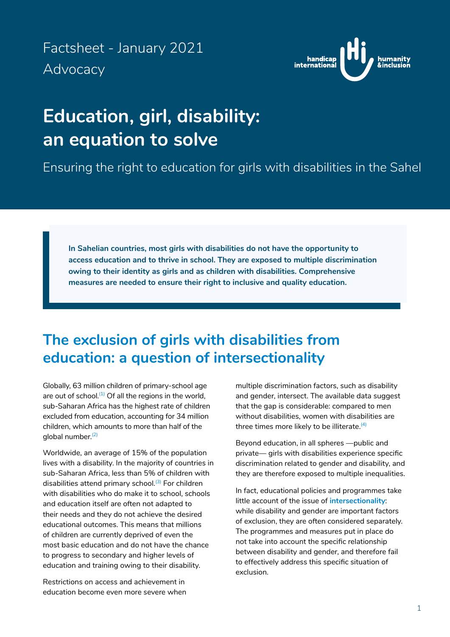<span id="page-0-0"></span>Factsheet - January 2021 Advocacy



# **Education, girl, disability: an equation to solve**

Ensuring the right to education for girls with disabilities in the Sahel

**In Sahelian countries, most girls with disabilities do not have the opportunity to access education and to thrive in school. They are exposed to multiple discrimination owing to their identity as girls and as children with disabilities. Comprehensive measures are needed to ensure their right to inclusive and quality education.**

## **The exclusion of girls with disabilities from education: a question of intersectionality**

Globally, 63 million children of primary-school age are out of school. $(1)$  Of all the regions in the world, sub-Saharan Africa has the highest rate of children excluded from education, accounting for 34 million children, which amounts to more than half of the global number. $(2)$ 

Worldwide, an average of 15% of the population lives with a disability. In the majority of countries in sub-Saharan Africa, less than 5% of children with disabilities attend primary school.<sup>[\(3\)](#page-4-0)</sup> For children with disabilities who do make it to school, schools and education itself are often not adapted to their needs and they do not achieve the desired educational outcomes. This means that millions of children are currently deprived of even the most basic education and do not have the chance to progress to secondary and higher levels of education and training owing to their disability.

Restrictions on access and achievement in education become even more severe when multiple discrimination factors, such as disability and gender, intersect. The available data suggest that the gap is considerable: compared to men without disabilities, women with disabilities are three times more likely to be illiterate.<sup>(4)</sup>

Beyond education, in all spheres —public and private— girls with disabilities experience specific discrimination related to gender and disability, and they are therefore exposed to multiple inequalities.

In fact, educational policies and programmes take little account of the issue of **intersectionality**: while disability and gender are important factors of exclusion, they are often considered separately. The programmes and measures put in place do not take into account the specific relationship between disability and gender, and therefore fail to effectively address this specific situation of exclusion.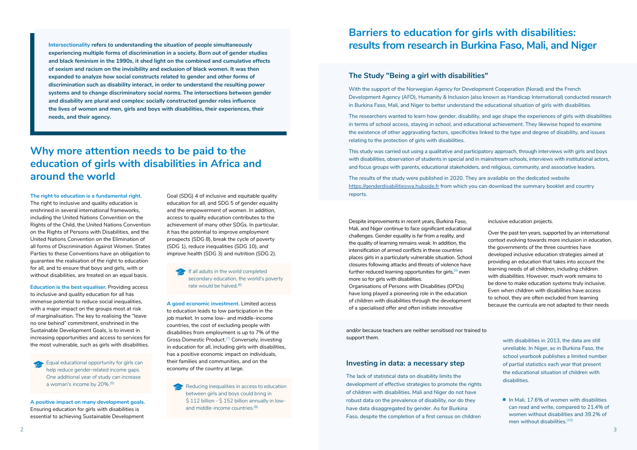**Intersectionality refers to understanding the situation of people simultaneously experiencing multiple forms of discrimination in a society. Born out of gender studies and black feminism in the 1990s, it shed light on the combined and cumulative effects of sexism and racism on the invisibility and exclusion of black women. It was then expanded to analyze how social constructs related to gender and other forms of discrimination such as disability interact, in order to understand the resulting power systems and to change discriminatory social norms. The intersections between gender and disability are plural and complex: socially constructed gender roles influence the lives of women and men, girls and boys with disabilities, their experiences, their needs, and their agency.**

## **Why more attention needs to be paid to the education of girls with disabilities in Africa and around the world**

#### **The right to education is a fundamental right.**

Equal educational opportunity for girls can help reduce gender-related income gaps. One additional year of study can increase a woman's income by 20%.[\(5\)](#page-4-0)

The right to inclusive and quality education is enshrined in several international frameworks, including the United Nations Convention on the Rights of the Child, the United Nations Convention on the Rights of Persons with Disabilities, and the United Nations Convention on the Elimination of all forms of Discrimination Against Women. States Parties to these Conventions have an obligation to guarantee the realisation of the right to education for all, and to ensure that boys and girls, with or without disabilities, are treated on an equal basis.

**Education is the best equaliser.** Providing access to inclusive and quality education for all has immense potential to reduce social inequalities, with a major impact on the groups most at risk of marginalisation. The key to realising the "leave no one behind" commitment, enshrined in the Sustainable Development Goals, is to invest in increasing opportunities and access to services for the most vulnerable, such as girls with disabilities.

**A positive impact on many development goals.** Ensuring education for girls with disabilities is essential to achieving Sustainable Development Goal (SDG) 4 of inclusive and equitable quality education for all, and SDG 5 of gender equality and the empowerment of women. In addition, access to quality education contributes to the achievement of many other SDGs. In particular, it has the potential to improve employment prospects (SDG 8), break the cycle of poverty (SDG 1), reduce inequalities (SDG 10), and improve health (SDG 3) and nutrition (SDG 2).

If all adults in the world completed secondary education, the world's poverty rate would be halved.<sup>[\(6\)](#page-4-0)</sup>

**A good economic investment.** Limited access to education leads to low participation in the job market. In some low- and middle-income countries, the cost of excluding people with disabilities from employment is up to 7% of the Gross Domestic Product.<sup>(7)</sup> Conversely, investing in education for all, including girls with disabilities, has a positive economic impact on individuals, their families and communities, and on the economy of the country at large.

Reducing inequalities in access to education between girls and boys could bring in \$112 billion - \$152 billion annually in low-and middle-income countries.<sup>[\(8\)](#page-4-0)</sup>

## **Barriers to education for girls with disabilities: results from research in Burkina Faso, Mali, and Niger**

#### **The Study "Being a girl with disabilities"**

With the support of the Norwegian Agency for Development Cooperation (Norad) and the French Development Agency (AFD), Humanity & Inclusion (also known as Handicap International) conducted research in Burkina Faso, Mali, and Niger to better understand the educational situation of girls with disabilities.

The researchers wanted to learn how gender, disability, and age shape the experiences of girls with disabilities in terms of school access, staying in school, and educational achievement. They likewise hoped to examine the existence of other aggravating factors, specificities linked to the type and degree of disability, and issues relating to the protection of girls with disabilities.

This study was carried out using a qualitative and participatory approach, through interviews with girls and boys with disabilities, observation of students in special and in mainstream schools, interviews with institutional actors, and focus groups with parents, educational stakeholders, and religious, community, and associative leaders.

The results of the study were published in 2020. They are available on the dedicated website <https://genderdisabilitieswa.hubside.fr>from which you can download the summary booklet and country reports.

Despite improvements in recent years, Burkina Faso, Mali, and Niger continue to face significant educational challenges. Gender equality is far from a reality, and the quality of learning remains weak. In addition, the intensification of armed conflicts in these countries places girls in a particularly vulnerable situation. School closures following attacks and threats of violence have further reduced learning opportunities for girls,  $(9)$  even more so for girls with disabilities. Organisations of Persons with Disabilities (OPDs) have long played a pioneering role in the education of children with disabilities through the development

of a specialised offer and often initiate innovative

inclusive education projects.

Over the past ten years, supported by an international context evolving towards more inclusion in education, the governments of the three countries have developed inclusive education strategies aimed at providing an education that takes into account the learning needs of all children, including children with disabilities. However, much work remains to be done to make education systems truly inclusive. Even when children with disabilities have access to school, they are often excluded from learning because the curricula are not adapted to their needs

and/or because teachers are neither sensitised nor trained to support them.

#### **Investing in data: a necessary step**

The lack of statistical data on disability limits the development of effective strategies to promote the rights of children with disabilities. Mali and Niger do not have robust data on the prevalence of disability, nor do they have data disaggregated by gender. As for Burkina Faso, despite the completion of a first census on children

with disabilities in 2013, the data are still unreliable. In Niger, as in Burkina Faso, the school yearbook publishes a limited number of partial statistics each year that present the educational situation of children with disabilities.

■ In Mali, 17.6% of women with disabilities can read and write, compared to 21.4% of women without disabilities and 39.2% of men without disabilities.<sup>(10)</sup>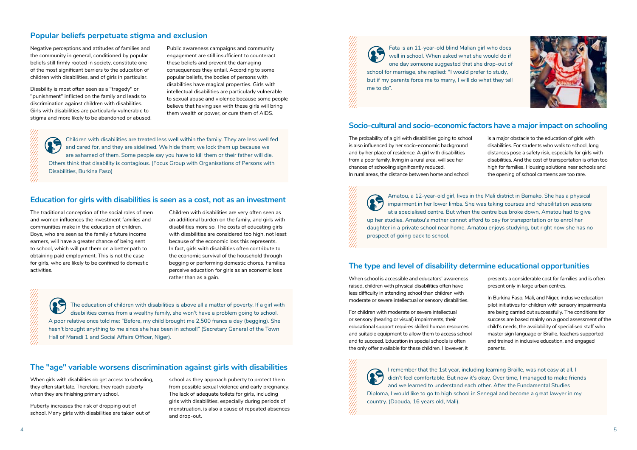#### **Popular beliefs perpetuate stigma and exclusion**

Negative perceptions and attitudes of families and the community in general, conditioned by popular beliefs still firmly rooted in society, constitute one of the most significant barriers to the education of children with disabilities, and of girls in particular.

Disability is most often seen as a "tragedy" or "punishment" inflicted on the family and leads to discrimination against children with disabilities. Girls with disabilities are particularly vulnerable to stigma and more likely to be abandoned or abused.

89 Children with disabilities are treated less well within the family. They are less well fed and cared for, and they are sidelined. We hide them; we lock them up because we are ashamed of them. Some people say you have to kill them or their father will die. Others think that disability is contagious. (Focus Group with Organisations of Persons with Disabilities, Burkina Faso)

Public awareness campaigns and community engagement are still insufficient to counteract these beliefs and prevent the damaging consequences they entail. According to some popular beliefs, the bodies of persons with disabilities have magical properties. Girls with intellectual disabilities are particularly vulnerable to sexual abuse and violence because some people believe that having sex with these girls will bring them wealth or power, or cure them of AIDS.

Fata is an 11-year-old blind Malian girl who does well in school. When asked what she would do if one day someone suggested that she drop-out of school for marriage, she replied: "I would prefer to study, but if my parents force me to marry, I will do what they tell

me to do".

#### **Socio-cultural and socio-economic factors have a major impact on schooling**

The probability of a girl with disabilities going to school is also influenced by her socio-economic background and by her place of residence. A girl with disabilities from a poor family, living in a rural area, will see her chances of schooling significantly reduced. In rural areas, the distance between home and school

is a major obstacle to the education of girls with disabilities. For students who walk to school, long distances pose a safety risk, especially for girls with disabilities. And the cost of transportation is often too high for families. Housing solutions near schools and the opening of school canteens are too rare.

Children with disabilities are very often seen as an additional burden on the family, and girls with disabilities more so. The costs of educating girls with disabilities are considered too high, not least because of the economic loss this represents. In fact, girls with disabilities often contribute to the economic survival of the household through begging or performing domestic chores. Families perceive education for girls as an economic loss rather than as a gain.

Amatou, a 12-year-old girl, lives in the Mali district in Bamako. She has a physical impairment in her lower limbs. She was taking courses and rehabilitation sessions at a specialised centre. But when the centre bus broke down, Amatou had to give up her studies. Amatou's mother cannot afford to pay for transportation or to enrol her daughter in a private school near home. Amatou enjoys studying, but right now she has no prospect of going back to school.

### **The type and level of disability determine educational opportunities**

When school is accessible and educators' awareness raised, children with physical disabilities often have less difficulty in attending school than children with moderate or severe intellectual or sensory disabilities.

For children with moderate or severe intellectual or sensory (hearing or visual) impairments, their educational support requires skilled human resources and suitable equipment to allow them to access school and to succeed. Education in special schools is often the only offer available for these children. However, it

presents a considerable cost for families and is often present only in large urban centres.

In Burkina Faso, Mali, and Niger, inclusive education pilot initiatives for children with sensory impairments are being carried out successfully. The conditions for success are based mainly on a good assessment of the child's needs, the availability of specialised staff who master sign language or Braille, teachers supported and trained in inclusive education, and engaged parents.

I remember that the 1st year, including learning Braille, was not easy at all. I didn't feel comfortable. But now it's okay. Over time, I managed to make friends and we learned to understand each other. After the Fundamental Studies Diploma, I would like to go to high school in Senegal and become a great lawyer in my

country. (Daouda, 16 years old, Mali).



#### **Education for girls with disabilities is seen as a cost, not as an investment**

The traditional conception of the social roles of men and women influences the investment families and communities make in the education of children. Boys, who are seen as the family's future income earners, will have a greater chance of being sent to school, which will put them on a better path to obtaining paid employment. This is not the case for girls, who are likely to be confined to domestic activities.

> The education of children with disabilities is above all a matter of poverty. If a girl with disabilities comes from a wealthy family, she won't have a problem going to school. A poor relative once told me: "Before, my child brought me 2,500 francs a day (begging). She hasn't brought anything to me since she has been in school!" (Secretary General of the Town Hall of Maradi 1 and Social Affairs Officer, Niger).

## **The "age" variable worsens discrimination against girls with disabilities**

When girls with disabilities do get access to schooling, they often start late. Therefore, they reach puberty when they are finishing primary school.

Puberty increases the risk of dropping out of school. Many girls with disabilities are taken out of

school as they approach puberty to protect them from possible sexual violence and early pregnancy. The lack of adequate toilets for girls, including girls with disabilities, especially during periods of menstruation, is also a cause of repeated absences and drop-out.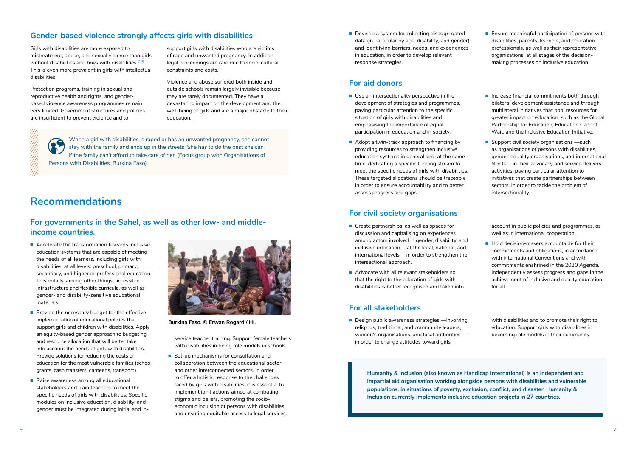## **Gender-based violence strongly affects girls with disabilities**

Girls with disabilities are more exposed to mistreatment, abuse, and sexual violence than girls without disabilities and boys with disabilities.<sup>[\(13\)](#page-4-0)</sup> This is even more prevalent in girls with intellectual disabilities.

Protection programs, training in sexual and reproductive health and rights, and genderbased violence awareness programmes remain very limited. Government structures and policies are insufficient to prevent violence and to

support girls with disabilities who are victims of rape and unwanted pregnancy. In addition, legal proceedings are rare due to socio-cultural constraints and costs.

Violence and abuse suffered both inside and outside schools remain largely invisible because they are rarely documented. They have a devastating impact on the development and the well-being of girls and are a major obstacle to their education.

When a girl with disabilities is raped or has an unwanted pregnancy, she cannot stay with the family and ends up in the streets. She has to do the best she can if the family can't afford to take care of her. (Focus group with Organisations of Persons with Disabilities, Burkina Faso)

- Accelerate the transformation towards inclusive education systems that are capable of meeting the needs of all learners, including girls with disabilities, at all levels: preschool, primary, secondary, and higher or professional education. This entails, among other things, accessible infrastructure and flexible curricula, as well as gender- and disability-sensitive educational materials.
- Provide the necessary budget for the effective implementation of educational policies that support girls and children with disabilities. Apply an equity-based gender approach to budgeting and resource allocation that will better take into account the needs of girls with disabilities. Provide solutions for reducing the costs of education for the most vulnerable families (school grants, cash transfers, canteens, transport).
- Raise awareness among all educational stakeholders and train teachers to meet the specific needs of girls with disabilities. Specific modules on inclusive education, disability, and gender must be integrated during initial and in-

## **Recommendations**

### **For governments in the Sahel, as well as other low- and middleincome countries.**

■ Set-up mechanisms for consultation and collaboration between the educational sector and other interconnected sectors. In order to offer a holistic response to the challenges faced by girls with disabilities, it is essential to implement joint actions aimed at combating stigma and beliefs, promoting the socioeconomic inclusion of persons with disabilities, and ensuring equitable access to legal services. ■ Develop a system for collecting disaggregated data (in particular by age, disability, and gender) and identifying barriers, needs, and experiences in education, in order to develop relevant response strategies.

- Use an intersectionality perspective in the development of strategies and programmes, paying particular attention to the specific situation of girls with disabilities and emphasising the importance of equal participation in education and in society.
- Adopt a twin-track approach to financing by providing resources to strengthen inclusive education systems in general and, at the same time, dedicating a specific funding stream to meet the specific needs of girls with disabilities. These targeted allocations should be traceable in order to ensure accountability and to better assess progress and gaps.
- Ensure meaningful participation of persons with disabilities, parents, learners, and education professionals, as well as their representative organisations, at all stages of the decisionmaking processes on inclusive education.
- Increase financial commitments both through bilateral development assistance and through multilateral initiatives that pool resources for greater impact on education, such as the Global Partnership for Education, Education Cannot Wait, and the Inclusive Education Initiative.
- Support civil society organisations —such as organisations of persons with disabilities, gender-equality organisations, and international NGOs— in their advocacy and service delivery activities, paying particular attention to initiatives that create partnerships between sectors, in order to tackle the problem of intersectionality.

service teacher training. Support female teachers with disabilities in being role models in schools.

- Create partnerships, as well as spaces for discussion and capitalising on experiences among actors involved in gender, disability, and inclusive education —at the local, national, and international levels— in order to strengthen the intersectional approach.
- Advocate with all relevant stakeholders so that the right to the education of girls with disabilities is better recognised and taken into

■ Hold decision-makers accountable for their commitments and obligations, in accordance with international Conventions and with commitments enshrined in the 2030 Agenda. Independently assess progress and gaps in the achievement of inclusive and quality education for all.

■ Design public awareness strategies —involving religious, traditional, and community leaders, women's organisations, and local authorities in order to change attitudes toward girls



**Burkina Faso. © Erwan Rogard / HI.**

#### **For aid donors**

### **For civil society organisations**

account in public policies and programmes, as well as in international cooperation.

#### **For all stakeholders**

with disabilities and to promote their right to education. Support girls with disabilities in becoming role models in their community.

**Humanity & Inclusion (also known as Handicap International) is an independent and impartial aid organisation working alongside persons with disabilities and vulnerable populations, in situations of poverty, exclusion, conflict, and disaster. Humanity & Inclusion currently implements inclusive education projects in 27 countries.**